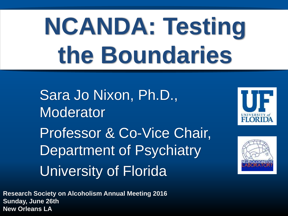# **NCANDA: Testing the Boundaries**

Sara Jo Nixon, Ph.D., Moderator Professor & Co-Vice Chair, Department of Psychiatry University of Florida





**Research Society on Alcoholism Annual Meeting 2016 Sunday, June 26th New Orleans LA**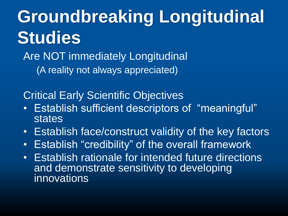**Groundbreaking Longitudinal Studies**

Are NOT immediately Longitudinal (A reality not always appreciated)

Critical Early Scientific Objectives

- Establish sufficient descriptors of "meaningful" **states**
- Establish face/construct validity of the key factors
- Establish "credibility" of the overall framework
- Establish rationale for intended future directions and demonstrate sensitivity to developing innovations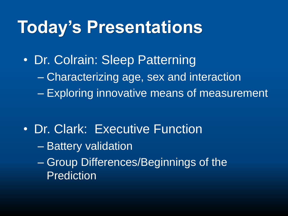#### **Today's Presentations**

• Dr. Colrain: Sleep Patterning – Characterizing age, sex and interaction – Exploring innovative means of measurement

- Dr. Clark: Executive Function
	- Battery validation
	- Group Differences/Beginnings of the Prediction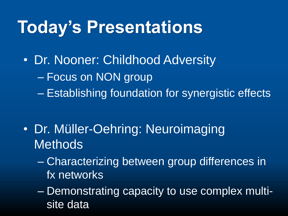#### **Today's Presentations**

• Dr. Nooner: Childhood Adversity – Focus on NON group – Establishing foundation for synergistic effects

- Dr. Müller-Oehring: Neuroimaging **Methods** 
	- Characterizing between group differences in fx networks
	- Demonstrating capacity to use complex multisite data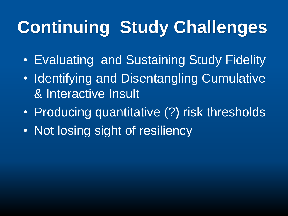## **Continuing Study Challenges**

- Evaluating and Sustaining Study Fidelity
- Identifying and Disentangling Cumulative & Interactive Insult
- Producing quantitative (?) risk thresholds
- Not losing sight of resiliency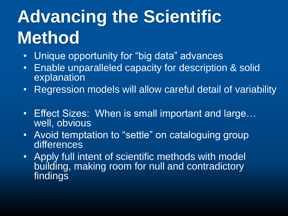## **Advancing the Scientific Method**

- Unique opportunity for "big data" advances
- Enable unparalleled capacity for description & solid explanation
- Regression models will allow careful detail of variability
- Effect Sizes: When is small important and large… well, obvious
- Avoid temptation to "settle" on cataloguing group differences
- Apply full intent of scientific methods with model building, making room for null and contradictory findings